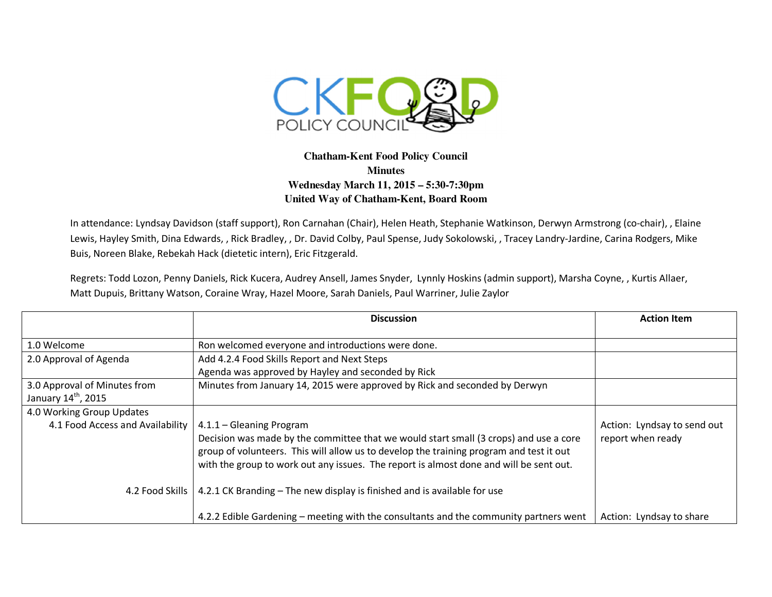

## **Chatham-Kent Food Policy Council Minutes Wednesday March 11, 2015 – 5:30-7:30pm United Way of Chatham-Kent, Board Room**

In attendance: Lyndsay Davidson (staff support), Ron Carnahan (Chair), Helen Heath, Stephanie Watkinson, Derwyn Armstrong (co-chair), , Elaine Lewis, Hayley Smith, Dina Edwards, , Rick Bradley, , Dr. David Colby, Paul Spense, Judy Sokolowski, , Tracey Landry-Jardine, Carina Rodgers, Mike Buis, Noreen Blake, Rebekah Hack (dietetic intern), Eric Fitzgerald.

Regrets: Todd Lozon, Penny Daniels, Rick Kucera, Audrey Ansell, James Snyder, Lynnly Hoskins (admin support), Marsha Coyne, , Kurtis Allaer, Matt Dupuis, Brittany Watson, Coraine Wray, Hazel Moore, Sarah Daniels, Paul Warriner, Julie Zaylor

|                                  | <b>Discussion</b>                                                                       | <b>Action Item</b>          |
|----------------------------------|-----------------------------------------------------------------------------------------|-----------------------------|
|                                  |                                                                                         |                             |
| 1.0 Welcome                      | Ron welcomed everyone and introductions were done.                                      |                             |
| 2.0 Approval of Agenda           | Add 4.2.4 Food Skills Report and Next Steps                                             |                             |
|                                  | Agenda was approved by Hayley and seconded by Rick                                      |                             |
| 3.0 Approval of Minutes from     | Minutes from January 14, 2015 were approved by Rick and seconded by Derwyn              |                             |
| January 14 <sup>th</sup> , 2015  |                                                                                         |                             |
| 4.0 Working Group Updates        |                                                                                         |                             |
| 4.1 Food Access and Availability | 4.1.1 - Gleaning Program                                                                | Action: Lyndsay to send out |
|                                  | Decision was made by the committee that we would start small (3 crops) and use a core   | report when ready           |
|                                  | group of volunteers. This will allow us to develop the training program and test it out |                             |
|                                  | with the group to work out any issues. The report is almost done and will be sent out.  |                             |
| 4.2 Food Skills 1                | 4.2.1 CK Branding – The new display is finished and is available for use                |                             |
|                                  |                                                                                         |                             |
|                                  | 4.2.2 Edible Gardening – meeting with the consultants and the community partners went   | Action: Lyndsay to share    |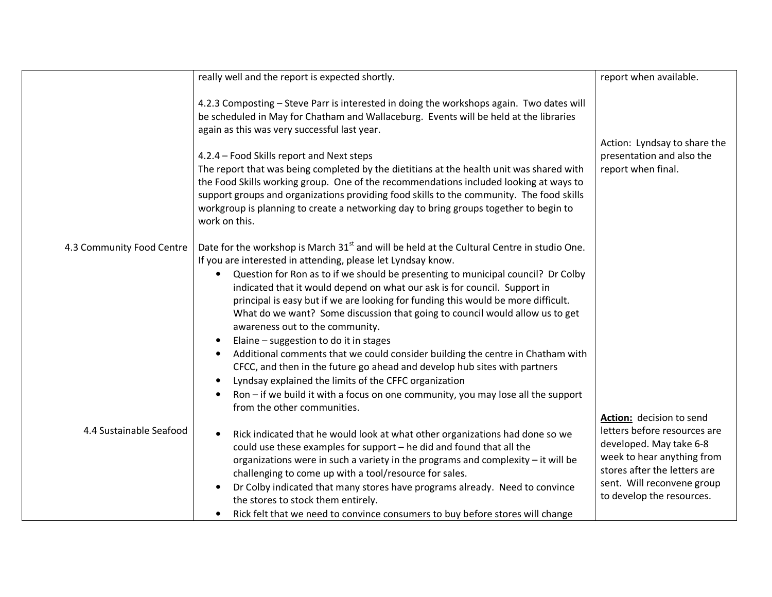|                           | really well and the report is expected shortly.                                                                                                                                                                                                                                                                                                                                                                                                                                                                                                                                                                                                                                                                                                                                                                                                                                                                                      | report when available.                                                                                                                                                                                       |
|---------------------------|--------------------------------------------------------------------------------------------------------------------------------------------------------------------------------------------------------------------------------------------------------------------------------------------------------------------------------------------------------------------------------------------------------------------------------------------------------------------------------------------------------------------------------------------------------------------------------------------------------------------------------------------------------------------------------------------------------------------------------------------------------------------------------------------------------------------------------------------------------------------------------------------------------------------------------------|--------------------------------------------------------------------------------------------------------------------------------------------------------------------------------------------------------------|
|                           | 4.2.3 Composting - Steve Parr is interested in doing the workshops again. Two dates will<br>be scheduled in May for Chatham and Wallaceburg. Events will be held at the libraries<br>again as this was very successful last year.<br>4.2.4 - Food Skills report and Next steps<br>The report that was being completed by the dietitians at the health unit was shared with<br>the Food Skills working group. One of the recommendations included looking at ways to<br>support groups and organizations providing food skills to the community. The food skills<br>workgroup is planning to create a networking day to bring groups together to begin to<br>work on this.                                                                                                                                                                                                                                                            | Action: Lyndsay to share the<br>presentation and also the<br>report when final.                                                                                                                              |
| 4.3 Community Food Centre | Date for the workshop is March 31 <sup>st</sup> and will be held at the Cultural Centre in studio One.<br>If you are interested in attending, please let Lyndsay know.<br>Question for Ron as to if we should be presenting to municipal council? Dr Colby<br>indicated that it would depend on what our ask is for council. Support in<br>principal is easy but if we are looking for funding this would be more difficult.<br>What do we want? Some discussion that going to council would allow us to get<br>awareness out to the community.<br>Elaine - suggestion to do it in stages<br>Additional comments that we could consider building the centre in Chatham with<br>CFCC, and then in the future go ahead and develop hub sites with partners<br>Lyndsay explained the limits of the CFFC organization<br>Ron – if we build it with a focus on one community, you may lose all the support<br>from the other communities. |                                                                                                                                                                                                              |
| 4.4 Sustainable Seafood   | Rick indicated that he would look at what other organizations had done so we<br>could use these examples for support - he did and found that all the<br>organizations were in such a variety in the programs and complexity - it will be<br>challenging to come up with a tool/resource for sales.<br>Dr Colby indicated that many stores have programs already. Need to convince<br>the stores to stock them entirely.<br>Rick felt that we need to convince consumers to buy before stores will change                                                                                                                                                                                                                                                                                                                                                                                                                             | Action: decision to send<br>letters before resources are<br>developed. May take 6-8<br>week to hear anything from<br>stores after the letters are<br>sent. Will reconvene group<br>to develop the resources. |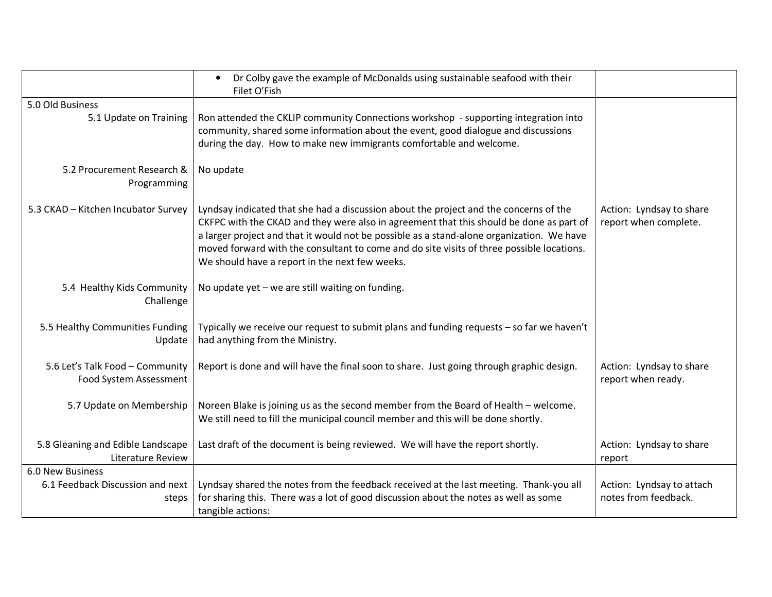|                                                               | Dr Colby gave the example of McDonalds using sustainable seafood with their<br>$\bullet$<br>Filet O'Fish                                                                                                                                                                                                                                                                                                                     |                                                   |
|---------------------------------------------------------------|------------------------------------------------------------------------------------------------------------------------------------------------------------------------------------------------------------------------------------------------------------------------------------------------------------------------------------------------------------------------------------------------------------------------------|---------------------------------------------------|
| 5.0 Old Business                                              |                                                                                                                                                                                                                                                                                                                                                                                                                              |                                                   |
| 5.1 Update on Training                                        | Ron attended the CKLIP community Connections workshop - supporting integration into<br>community, shared some information about the event, good dialogue and discussions<br>during the day. How to make new immigrants comfortable and welcome.                                                                                                                                                                              |                                                   |
| 5.2 Procurement Research &<br>Programming                     | No update                                                                                                                                                                                                                                                                                                                                                                                                                    |                                                   |
| 5.3 CKAD - Kitchen Incubator Survey                           | Lyndsay indicated that she had a discussion about the project and the concerns of the<br>CKFPC with the CKAD and they were also in agreement that this should be done as part of<br>a larger project and that it would not be possible as a stand-alone organization. We have<br>moved forward with the consultant to come and do site visits of three possible locations.<br>We should have a report in the next few weeks. | Action: Lyndsay to share<br>report when complete. |
| 5.4 Healthy Kids Community<br>Challenge                       | No update yet - we are still waiting on funding.                                                                                                                                                                                                                                                                                                                                                                             |                                                   |
| 5.5 Healthy Communities Funding<br>Update                     | Typically we receive our request to submit plans and funding requests - so far we haven't<br>had anything from the Ministry.                                                                                                                                                                                                                                                                                                 |                                                   |
| 5.6 Let's Talk Food - Community<br>Food System Assessment     | Report is done and will have the final soon to share. Just going through graphic design.                                                                                                                                                                                                                                                                                                                                     | Action: Lyndsay to share<br>report when ready.    |
| 5.7 Update on Membership                                      | Noreen Blake is joining us as the second member from the Board of Health - welcome.<br>We still need to fill the municipal council member and this will be done shortly.                                                                                                                                                                                                                                                     |                                                   |
| 5.8 Gleaning and Edible Landscape<br><b>Literature Review</b> | Last draft of the document is being reviewed. We will have the report shortly.                                                                                                                                                                                                                                                                                                                                               | Action: Lyndsay to share<br>report                |
| 6.0 New Business                                              |                                                                                                                                                                                                                                                                                                                                                                                                                              |                                                   |
| 6.1 Feedback Discussion and next                              | Lyndsay shared the notes from the feedback received at the last meeting. Thank-you all                                                                                                                                                                                                                                                                                                                                       | Action: Lyndsay to attach                         |
| steps                                                         | for sharing this. There was a lot of good discussion about the notes as well as some                                                                                                                                                                                                                                                                                                                                         | notes from feedback.                              |
|                                                               | tangible actions:                                                                                                                                                                                                                                                                                                                                                                                                            |                                                   |